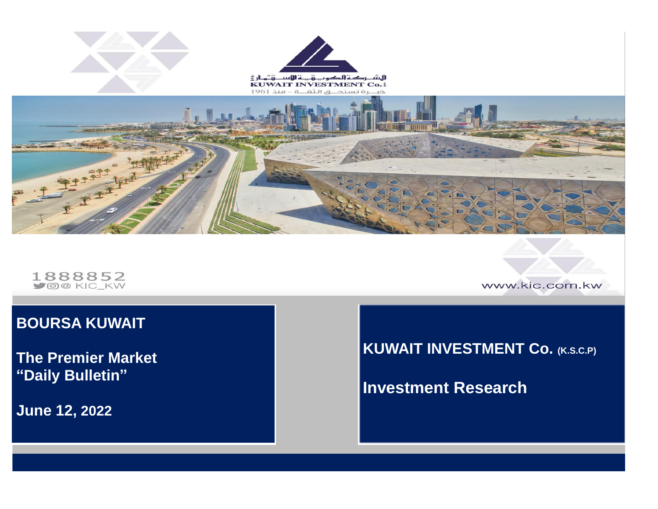

1888852

www.kic.com.kw

### **BOURSA KUWAIT**

**The Premier Market "Daily Bulletin"**

**June 12 , 2022**

### **KUWAIT INVESTMENT Co. (K.S.C.P)**

**Investment Research**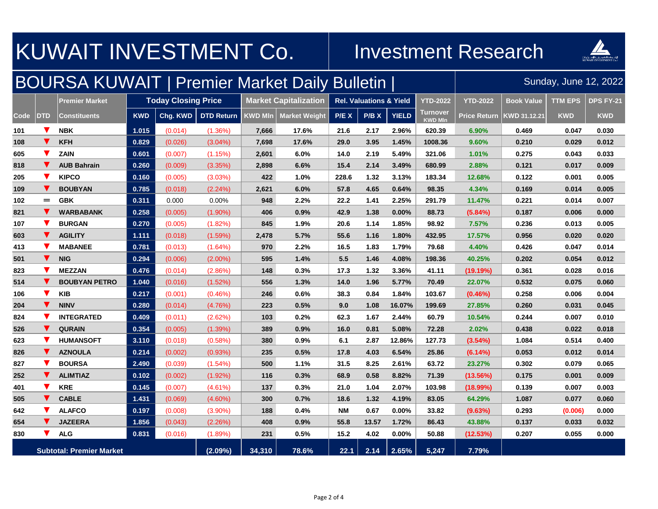| KUWAIT INVESTMENT Co.                                  |            |                       |                            |          |                   |                              |                      |                                    | <b>Investment Research</b> |                 |                            |                     |                       |                  |            |  |
|--------------------------------------------------------|------------|-----------------------|----------------------------|----------|-------------------|------------------------------|----------------------|------------------------------------|----------------------------|-----------------|----------------------------|---------------------|-----------------------|------------------|------------|--|
| <b>BOURSA KUWAIT   Premier Market Daily Bulletin  </b> |            |                       |                            |          |                   |                              |                      |                                    |                            |                 |                            |                     | Sunday, June 12, 2022 |                  |            |  |
|                                                        |            | <b>Premier Market</b> | <b>Today Closing Price</b> |          |                   | <b>Market Capitalization</b> |                      | <b>Rel. Valuations &amp; Yield</b> |                            | <b>YTD-2022</b> | <b>YTD-2022</b>            | <b>Book Value</b>   | <b>TTM EPS</b>        | <b>DPS FY-21</b> |            |  |
| <b>Code</b>                                            | <b>DTD</b> | <b>Constituents</b>   | <b>KWD</b>                 | Chg. KWD | <b>DTD Return</b> | <b>KWD MIn</b>               | <b>Market Weight</b> | P/E X                              | P/B X                      | <b>YIELD</b>    | Turnover<br><b>KWD MIn</b> | <b>Price Return</b> | KWD 31.12.21          | <b>KWD</b>       | <b>KWD</b> |  |
| 101                                                    | V          | <b>NBK</b>            | 1.015                      | (0.014)  | $(1.36\%)$        | 7,666                        | 17.6%                | 21.6                               | 2.17                       | 2.96%           | 620.39                     | 6.90%               | 0.469                 | 0.047            | 0.030      |  |
| 108                                                    |            | <b>KFH</b>            | 0.829                      | (0.026)  | $(3.04\%)$        | 7,698                        | 17.6%                | 29.0                               | 3.95                       | 1.45%           | 1008.36                    | 9.60%               | 0.210                 | 0.029            | 0.012      |  |
| 605                                                    | V          | <b>ZAIN</b>           | 0.601                      | (0.007)  | (1.15%)           | 2,601                        | 6.0%                 | 14.0                               | 2.19                       | 5.49%           | 321.06                     | 1.01%               | 0.275                 | 0.043            | 0.033      |  |
| 818                                                    |            | <b>AUB Bahrain</b>    | 0.260                      | (0.009)  | (3.35%)           | 2,898                        | 6.6%                 | 15.4                               | 2.14                       | 3.49%           | 680.99                     | 2.88%               | 0.121                 | 0.017            | 0.009      |  |
| 205                                                    | V          | <b>KIPCO</b>          | 0.160                      | (0.005)  | (3.03%)           | 422                          | 1.0%                 | 228.6                              | 1.32                       | 3.13%           | 183.34                     | 12.68%              | 0.122                 | 0.001            | 0.005      |  |
| 109                                                    | v.         | <b>BOUBYAN</b>        | 0.785                      | (0.018)  | (2.24%)           | 2,621                        | 6.0%                 | 57.8                               | 4.65                       | 0.64%           | 98.35                      | 4.34%               | 0.169                 | 0.014            | 0.005      |  |
| 102                                                    | $=$        | <b>GBK</b>            | 0.311                      | 0.000    | 0.00%             | 948                          | 2.2%                 | 22.2                               | 1.41                       | 2.25%           | 291.79                     | 11.47%              | 0.221                 | 0.014            | 0.007      |  |
| 821                                                    | v          | <b>WARBABANK</b>      | 0.258                      | (0.005)  | $(1.90\%)$        | 406                          | 0.9%                 | 42.9                               | 1.38                       | 0.00%           | 88.73                      | $(5.84\%)$          | 0.187                 | 0.006            | 0.000      |  |
| 107                                                    | v          | <b>BURGAN</b>         | 0.270                      | (0.005)  | (1.82%)           | 845                          | 1.9%                 | 20.6                               | 1.14                       | 1.85%           | 98.92                      | 7.57%               | 0.236                 | 0.013            | 0.005      |  |
| 603                                                    | v          | <b>AGILITY</b>        | 1.111                      | (0.018)  | $(1.59\%)$        | 2,478                        | 5.7%                 | 55.6                               | 1.16                       | 1.80%           | 432.95                     | 17.57%              | 0.956                 | 0.020            | 0.020      |  |
| 413                                                    |            | <b>MABANEE</b>        | 0.781                      | (0.013)  | $(1.64\%)$        | 970                          | 2.2%                 | 16.5                               | 1.83                       | 1.79%           | 79.68                      | 4.40%               | 0.426                 | 0.047            | 0.014      |  |
| 501                                                    |            | <b>NIG</b>            | 0.294                      | (0.006)  | $(2.00\%)$        | 595                          | 1.4%                 | 5.5                                | 1.46                       | 4.08%           | 198.36                     | 40.25%              | 0.202                 | 0.054            | 0.012      |  |
| 823                                                    |            | <b>MEZZAN</b>         | 0.476                      | (0.014)  | (2.86%)           | 148                          | 0.3%                 | 17.3                               | 1.32                       | 3.36%           | 41.11                      | (19.19%)            | 0.361                 | 0.028            | 0.016      |  |
| 514                                                    |            | <b>BOUBYAN PETRO</b>  | 1.040                      | (0.016)  | (1.52%)           | 556                          | 1.3%                 | 14.0                               | 1.96                       | 5.77%           | 70.49                      | 22.07%              | 0.532                 | 0.075            | 0.060      |  |
| 106                                                    | V          | <b>KIB</b>            | 0.217                      | (0.001)  | $(0.46\%)$        | 246                          | 0.6%                 | 38.3                               | 0.84                       | 1.84%           | 103.67                     | $(0.46\%)$          | 0.258                 | 0.006            | 0.004      |  |
| 204                                                    | v.         | <b>NINV</b>           | 0.280                      | (0.014)  | (4.76%)           | 223                          | 0.5%                 | 9.0                                | 1.08                       | 16.07%          | 199.69                     | 27.85%              | 0.260                 | 0.031            | 0.045      |  |
| 824                                                    |            | <b>INTEGRATED</b>     | 0.409                      | (0.011)  | (2.62%)           | 103                          | 0.2%                 | 62.3                               | 1.67                       | 2.44%           | 60.79                      | 10.54%              | 0.244                 | 0.007            | 0.010      |  |
| 526                                                    | v.         | <b>QURAIN</b>         | 0.354                      | (0.005)  | (1.39%)           | 389                          | 0.9%                 | 16.0                               | 0.81                       | 5.08%           | 72.28                      | 2.02%               | 0.438                 | 0.022            | 0.018      |  |
| 623                                                    | V          | <b>HUMANSOFT</b>      | 3.110                      | (0.018)  | (0.58%)           | 380                          | 0.9%                 | 6.1                                | 2.87                       | 12.86%          | 127.73                     | (3.54%)             | 1.084                 | 0.514            | 0.400      |  |
| 826                                                    | V.         | <b>AZNOULA</b>        | 0.214                      | (0.002)  | (0.93%)           | 235                          | 0.5%                 | 17.8                               | 4.03                       | 6.54%           | 25.86                      | (6.14%)             | 0.053                 | 0.012            | 0.014      |  |
| 827                                                    | V          | <b>BOURSA</b>         | 2.490                      | (0.039)  | $(1.54\%)$        | 500                          | 1.1%                 | 31.5                               | 8.25                       | 2.61%           | 63.72                      | 23.27%              | 0.302                 | 0.079            | 0.065      |  |
| 252                                                    | V.         | <b>ALIMTIAZ</b>       | 0.102                      | (0.002)  | $(1.92\%)$        | 116                          | 0.3%                 | 68.9                               | 0.58                       | 8.82%           | 71.39                      | (13.56%)            | 0.175                 | 0.001            | 0.009      |  |
| 401                                                    | V          | <b>KRE</b>            | 0.145                      | (0.007)  | $(4.61\%)$        | 137                          | 0.3%                 | 21.0                               | 1.04                       | 2.07%           | 103.98                     | $(18.99\%)$         | 0.139                 | 0.007            | 0.003      |  |
| 505                                                    | V.         | <b>CABLE</b>          | 1.431                      | (0.069)  | $(4.60\%)$        | 300                          | 0.7%                 | 18.6                               | 1.32                       | 4.19%           | 83.05                      | 64.29%              | 1.087                 | 0.077            | 0.060      |  |
| 642                                                    |            | <b>ALAFCO</b>         | 0.197                      | (0.008)  | $(3.90\%)$        | 188                          | 0.4%                 | <b>NM</b>                          | 0.67                       | 0.00%           | 33.82                      | (9.63%)             | 0.293                 | (0.006)          | 0.000      |  |
| 654                                                    | v.         | <b>JAZEERA</b>        | 1.856                      | (0.043)  | (2.26%)           | 408                          | 0.9%                 | 55.8                               | 13.57                      | 1.72%           | 86.43                      | 43.88%              | 0.137                 | 0.033            | 0.032      |  |
| 830                                                    | V.         | <b>ALG</b>            | 0.831                      | (0.016)  | $(1.89\%)$        | 231                          | 0.5%                 | 15.2                               | 4.02                       | $0.00\%$        | 50.88                      | (12.53%)            | 0.207                 | 0.055            | 0.000      |  |
| <b>Subtotal: Premier Market</b>                        |            |                       |                            |          | (2.09%)           | 34,310                       | 78.6%                | 22.1                               | 2.14                       | 2.65%           | 5,247                      | 7.79%               |                       |                  |            |  |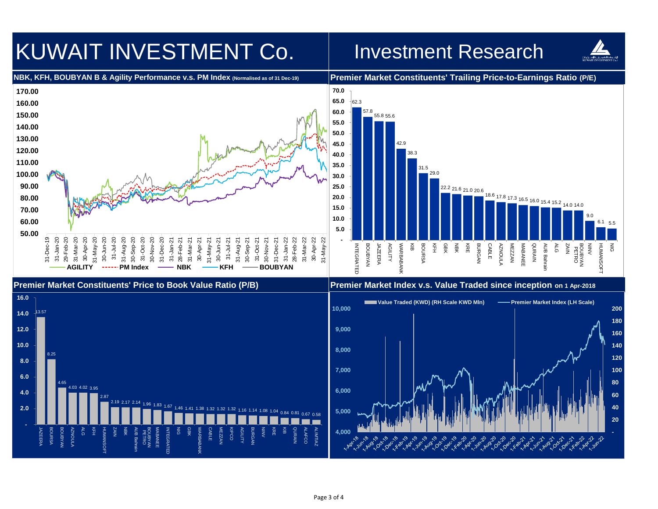# KUWAIT INVESTMENT Co. | Investment Research